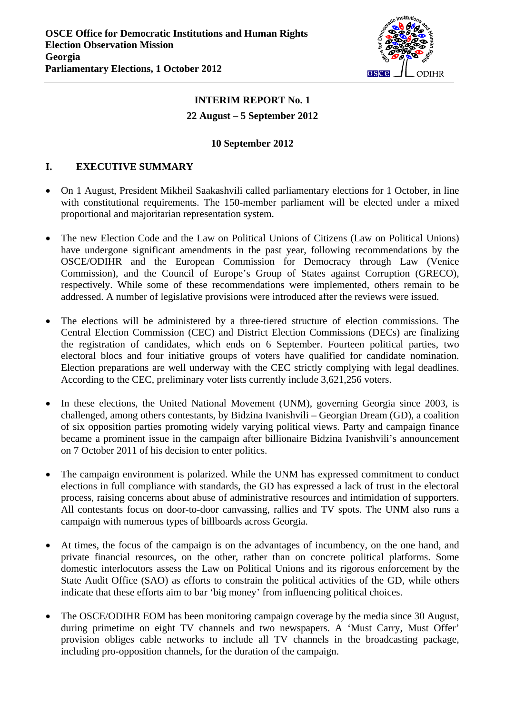

# **INTERIM REPORT No. 1 22 August – 5 September 2012**

#### **10 September 2012**

#### **I. EXECUTIVE SUMMARY**

- On 1 August, President Mikheil Saakashvili called parliamentary elections for 1 October, in line with constitutional requirements. The 150-member parliament will be elected under a mixed proportional and majoritarian representation system.
- The new Election Code and the Law on Political Unions of Citizens (Law on Political Unions) have undergone significant amendments in the past year, following recommendations by the OSCE/ODIHR and the European Commission for Democracy through Law (Venice Commission), and the Council of Europe's Group of States against Corruption (GRECO), respectively. While some of these recommendations were implemented, others remain to be addressed. A number of legislative provisions were introduced after the reviews were issued.
- The elections will be administered by a three-tiered structure of election commissions. The Central Election Commission (CEC) and District Election Commissions (DECs) are finalizing the registration of candidates, which ends on 6 September. Fourteen political parties, two electoral blocs and four initiative groups of voters have qualified for candidate nomination. Election preparations are well underway with the CEC strictly complying with legal deadlines. According to the CEC, preliminary voter lists currently include 3,621,256 voters.
- In these elections, the United National Movement (UNM), governing Georgia since 2003, is challenged, among others contestants, by Bidzina Ivanishvili – Georgian Dream (GD), a coalition of six opposition parties promoting widely varying political views. Party and campaign finance became a prominent issue in the campaign after billionaire Bidzina Ivanishvili's announcement on 7 October 2011 of his decision to enter politics.
- The campaign environment is polarized. While the UNM has expressed commitment to conduct elections in full compliance with standards, the GD has expressed a lack of trust in the electoral process, raising concerns about abuse of administrative resources and intimidation of supporters. All contestants focus on door-to-door canvassing, rallies and TV spots. The UNM also runs a campaign with numerous types of billboards across Georgia.
- At times, the focus of the campaign is on the advantages of incumbency, on the one hand, and private financial resources, on the other, rather than on concrete political platforms. Some domestic interlocutors assess the Law on Political Unions and its rigorous enforcement by the State Audit Office (SAO) as efforts to constrain the political activities of the GD, while others indicate that these efforts aim to bar 'big money' from influencing political choices.
- <span id="page-0-0"></span> The OSCE/ODIHR EOM has been monitoring campaign coverage by the media since 30 August, during primetime on eight TV channels and two newspapers. A 'Must Carry, Must Offer' provision obliges cable networks to include all TV channels in the broadcasting package, including pro-opposition channels, for the duration of the campaign.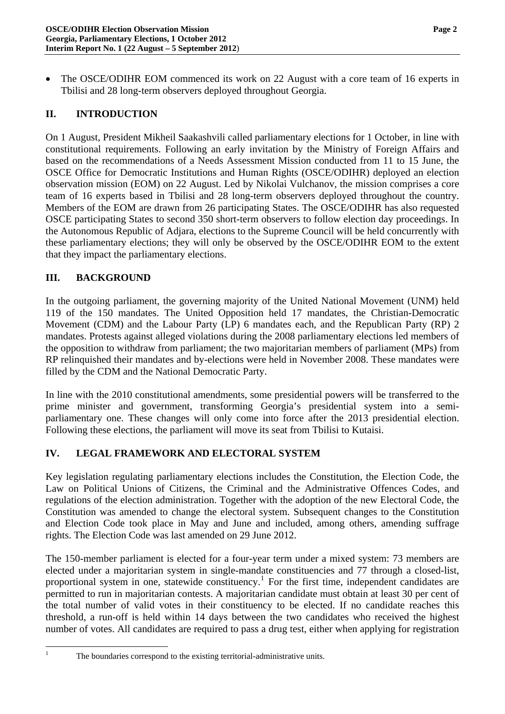The OSCE/ODIHR EOM commenced its work on 22 August with a core team of 16 experts in Tbilisi and 28 long-term observers deployed throughout Georgia.

## **II. INTRODUCTION**

On 1 August, President Mikheil Saakashvili called parliamentary elections for 1 October, in line with constitutional requirements. Following an early invitation by the Ministry of Foreign Affairs and based on the recommendations of a Needs Assessment Mission conducted from 11 to 15 June, the OSCE Office for Democratic Institutions and Human Rights (OSCE/ODIHR) deployed an election observation mission (EOM) on 22 August. Led by Nikolai Vulchanov, the mission comprises a core team of 16 experts based in Tbilisi and 28 long-term observers deployed throughout the country. Members of the EOM are drawn from 26 participating States. The OSCE/ODIHR has also requested OSCE participating States to second 350 short-term observers to follow election day proceedings. In the Autonomous Republic of Adjara, elections to the Supreme Council will be held concurrently with these parliamentary elections; they will only be observed by the OSCE/ODIHR EOM to the extent that they impact the parliamentary elections.

#### **III. BACKGROUND**

In the outgoing parliament, the governing majority of the United National Movement (UNM) held 119 of the 150 mandates. The United Opposition held 17 mandates, the Christian-Democratic Movement (CDM) and the Labour Party (LP) 6 mandates each, and the Republican Party (RP) 2 mandates. Protests against alleged violations during the 2008 parliamentary elections led members of the opposition to withdraw from parliament; the two majoritarian members of parliament (MPs) from RP relinquished their mandates and by-elections were held in November 2008. These mandates were filled by the CDM and the National Democratic Party.

In line with the 2010 constitutional amendments, some presidential powers will be transferred to the prime minister and government, transforming Georgia's presidential system into a semiparliamentary one. These changes will only come into force after the 2013 presidential election. Following these elections, the parliament will move its seat from Tbilisi to Kutaisi.

#### **IV. LEGAL FRAMEWORK AND ELECTORAL SYSTEM**

Key legislation regulating parliamentary elections includes the Constitution, the Election Code, the Law on Political Unions of Citizens, the Criminal and the Administrative Offences Codes, and regulations of the election administration. Together with the adoption of the new Electoral Code, the Constitution was amended to change the electoral system. Subsequent changes to the Constitution and Election Code took place in May and June and included, among others, amending suffrage rights. The Election Code was last amended on 29 June 2012.

<span id="page-1-0"></span>The 150-member parliament is elected for a four-year term under a mixed system: 73 members are elected under a majoritarian system in single-mandate constituencies and 77 through a closed-list, proportional system in one, statewide constituency.<sup>[1](#page-0-0)</sup> For the first time, independent candidates are permitted to run in majoritarian contests. A majoritarian candidate must obtain at least 30 per cent of the total number of valid votes in their constituency to be elected. If no candidate reaches this threshold, a run-off is held within 14 days between the two candidates who received the highest number of votes. All candidates are required to pass a drug test, either when applying for registration

 $\frac{1}{1}$ 

The boundaries correspond to the existing territorial-administrative units.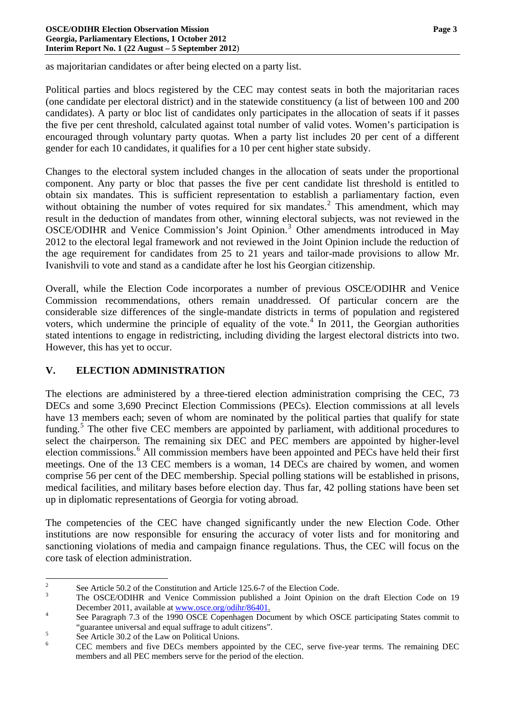as majoritarian candidates or after being elected on a party list.

Political parties and blocs registered by the CEC may contest seats in both the majoritarian races (one candidate per electoral district) and in the statewide constituency (a list of between 100 and 200 candidates). A party or bloc list of candidates only participates in the allocation of seats if it passes the five per cent threshold, calculated against total number of valid votes. Women's participation is encouraged through voluntary party quotas. When a party list includes 20 per cent of a different gender for each 10 candidates, it qualifies for a 10 per cent higher state subsidy.

Changes to the electoral system included changes in the allocation of seats under the proportional component. Any party or bloc that passes the five per cent candidate list threshold is entitled to obtain six mandates. This is sufficient representation to establish a parliamentary faction, even without obtaining the number of votes required for six mandates.<sup>[2](#page-1-0)</sup> This amendment, which may result in the deduction of mandates from other, winning electoral subjects, was not reviewed in the OSCE/ODIHR and Venice Commission's Joint Opinion.<sup>[3](#page-2-0)</sup> Other amendments introduced in May 2012 to the electoral legal framework and not reviewed in the Joint Opinion include the reduction of the age requirement for candidates from 25 to 21 years and tailor-made provisions to allow Mr. Ivanishvili to vote and stand as a candidate after he lost his Georgian citizenship.

Overall, while the Election Code incorporates a number of previous OSCE/ODIHR and Venice Commission recommendations, others remain unaddressed. Of particular concern are the considerable size differences of the single-mandate districts in terms of population and registered voters, which undermine the principle of equality of the vote. $4$  In 2011, the Georgian authorities stated intentions to engage in redistricting, including dividing the largest electoral districts into two. However, this has yet to occur.

## **V. ELECTION ADMINISTRATION**

The elections are administered by a three-tiered election administration comprising the CEC, 73 DECs and some 3,690 Precinct Election Commissions (PECs). Election commissions at all levels have 13 members each; seven of whom are nominated by the political parties that qualify for state funding.<sup>[5](#page-2-2)</sup> The other five CEC members are appointed by parliament, with additional procedures to select the chairperson. The remaining six DEC and PEC members are appointed by higher-level election commissions.<sup>[6](#page-2-3)</sup> All commission members have been appointed and PECs have held their first meetings. One of the 13 CEC members is a woman, 14 DECs are chaired by women, and women comprise 56 per cent of the DEC membership. Special polling stations will be established in prisons, medical facilities, and military bases before election day. Thus far, 42 polling stations have been set up in diplomatic representations of Georgia for voting abroad.

<span id="page-2-4"></span>The competencies of the CEC have changed significantly under the new Election Code. Other institutions are now responsible for ensuring the accuracy of voter lists and for monitoring and sanctioning violations of media and campaign finance regulations. Thus, the CEC will focus on the core task of election administration.

 $\frac{1}{2}$ See Article 50.2 of the Constitution and Article 125.6-7 of the Election Code.

<span id="page-2-0"></span>The OSCE/ODIHR and Venice Commission published a Joint Opinion on the draft Election Code on 19 December 2011, available at  $\frac{www.osce.org/odibr/86401}{2}$ .

<span id="page-2-1"></span>See Paragraph 7.3 of the 1990 OSCE Copenhagen Document by which OSCE participating States commit to "guarantee universal and equal suffrage to adult citizens".

<span id="page-2-2"></span>See Article 30.2 of the Law on Political Unions.

<span id="page-2-3"></span><sup>6</sup> CEC members and five DECs members appointed by the CEC, serve five-year terms. The remaining DEC members and all PEC members serve for the period of the election.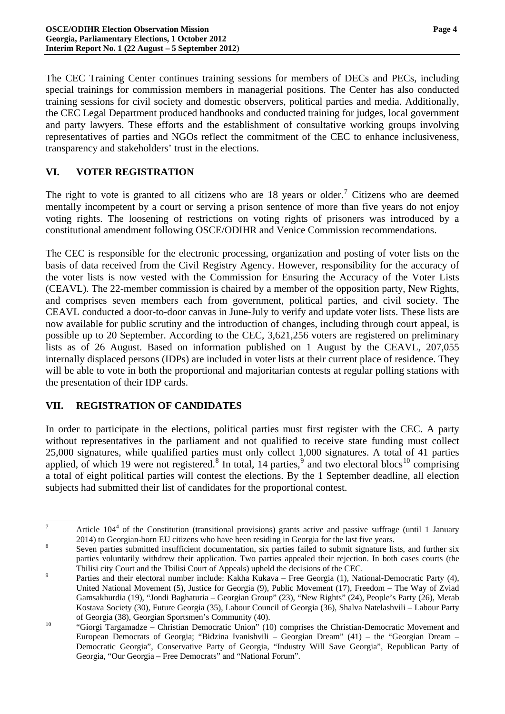The CEC Training Center continues training sessions for members of DECs and PECs, including special trainings for commission members in managerial positions. The Center has also conducted training sessions for civil society and domestic observers, political parties and media. Additionally, the CEC Legal Department produced handbooks and conducted training for judges, local government and party lawyers. These efforts and the establishment of consultative working groups involving representatives of parties and NGOs reflect the commitment of the CEC to enhance inclusiveness, transparency and stakeholders' trust in the elections.

# **VI. VOTER REGISTRATION**

The right to vote is granted to all citizens who are  $18$  years or older.<sup>[7](#page-2-4)</sup> Citizens who are deemed mentally incompetent by a court or serving a prison sentence of more than five years do not enjoy voting rights. The loosening of restrictions on voting rights of prisoners was introduced by a constitutional amendment following OSCE/ODIHR and Venice Commission recommendations.

The CEC is responsible for the electronic processing, organization and posting of voter lists on the basis of data received from the Civil Registry Agency. However, responsibility for the accuracy of the voter lists is now vested with the Commission for Ensuring the Accuracy of the Voter Lists (CEAVL). The 22-member commission is chaired by a member of the opposition party, New Rights, and comprises seven members each from government, political parties, and civil society. The CEAVL conducted a door-to-door canvas in June-July to verify and update voter lists. These lists are now available for public scrutiny and the introduction of changes, including through court appeal, is possible up to 20 September. According to the CEC, 3,621,256 voters are registered on preliminary lists as of 26 August. Based on information published on 1 August by the CEAVL, 207,055 internally displaced persons (IDPs) are included in voter lists at their current place of residence. They will be able to vote in both the proportional and majoritarian contests at regular polling stations with the presentation of their IDP cards.

## **VII. REGISTRATION OF CANDIDATES**

<sup>-</sup>

In order to participate in the elections, political parties must first register with the CEC. A party without representatives in the parliament and not qualified to receive state funding must collect 25,000 signatures, while qualified parties must only collect 1,000 signatures. A total of 41 parties applied, of which 19 were not registered.<sup>[8](#page-3-0)</sup> In total, 14 parties,<sup>[9](#page-3-1)</sup> and two electoral blocs<sup>[10](#page-3-2)</sup> comprising a total of eight political parties will contest the elections. By the 1 September deadline, all election subjects had submitted their list of candidates for the proportional contest.

Article  $104<sup>4</sup>$  of the Constitution (transitional provisions) grants active and passive suffrage (until 1 January 2014) to Georgian-born EU citizens who have been residing in Georgia for the last five years.

<span id="page-3-0"></span>Seven parties submitted insufficient documentation, six parties failed to submit signature lists, and further six parties voluntarily withdrew their application. Two parties appealed their rejection. In both cases courts (the Tbilisi city Court and the Tbilisi Court of Appeals) upheld the decisions of the CEC.

<span id="page-3-1"></span>Parties and their electoral number include: Kakha Kukava – Free Georgia (1), National-Democratic Party (4), United National Movement (5), Justice for Georgia (9), Public Movement (17), Freedom – The Way of Zviad Gamsakhurdia (19), "Jondi Baghaturia – Georgian Group" (23), "New Rights" (24), People's Party (26), Merab Kostava Society (30), Future Georgia (35), Labour Council of Georgia (36), Shalva Natelashvili – Labour Party

<span id="page-3-3"></span><span id="page-3-2"></span>of Georgia (38), Georgian Sportsmen's Community (40). 10 "Giorgi Targamadze – Christian Democratic Union" (10) comprises the Christian-Democratic Movement and European Democrats of Georgia; "Bidzina Ivanishvili – Georgian Dream" (41) – the "Georgian Dream – Democratic Georgia", Conservative Party of Georgia, "Industry Will Save Georgia", Republican Party of Georgia, "Our Georgia – Free Democrats" and "National Forum".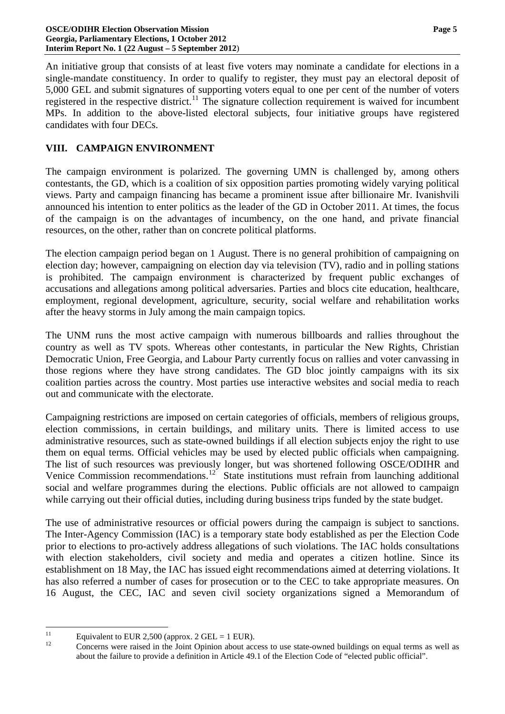An initiative group that consists of at least five voters may nominate a candidate for elections in a single-mandate constituency. In order to qualify to register, they must pay an electoral deposit of 5,000 GEL and submit signatures of supporting voters equal to one per cent of the number of voters registered in the respective district.<sup>[11](#page-3-3)</sup> The signature collection requirement is waived for incumbent MPs. In addition to the above-listed electoral subjects, four initiative groups have registered candidates with four DECs.

## **VIII. CAMPAIGN ENVIRONMENT**

The campaign environment is polarized. The governing UMN is challenged by, among others contestants, the GD, which is a coalition of six opposition parties promoting widely varying political views. Party and campaign financing has became a prominent issue after billionaire Mr. Ivanishvili announced his intention to enter politics as the leader of the GD in October 2011. At times, the focus of the campaign is on the advantages of incumbency, on the one hand, and private financial resources, on the other, rather than on concrete political platforms.

The election campaign period began on 1 August. There is no general prohibition of campaigning on election day; however, campaigning on election day via television (TV), radio and in polling stations is prohibited. The campaign environment is characterized by frequent public exchanges of accusations and allegations among political adversaries. Parties and blocs cite education, healthcare, employment, regional development, agriculture, security, social welfare and rehabilitation works after the heavy storms in July among the main campaign topics.

The UNM runs the most active campaign with numerous billboards and rallies throughout the country as well as TV spots. Whereas other contestants, in particular the New Rights, Christian Democratic Union, Free Georgia, and Labour Party currently focus on rallies and voter canvassing in those regions where they have strong candidates. The GD bloc jointly campaigns with its six coalition parties across the country. Most parties use interactive websites and social media to reach out and communicate with the electorate.

Campaigning restrictions are imposed on certain categories of officials, members of religious groups, election commissions, in certain buildings, and military units. There is limited access to use administrative resources, such as state-owned buildings if all election subjects enjoy the right to use them on equal terms. Official vehicles may be used by elected public officials when campaigning. The list of such resources was previously longer, but was shortened following OSCE/ODIHR and Venice Commission recommendations.<sup>[12](#page-4-0)</sup> State institutions must refrain from launching additional social and welfare programmes during the elections. Public officials are not allowed to campaign while carrying out their official duties, including during business trips funded by the state budget.

The use of administrative resources or official powers during the campaign is subject to sanctions. The Inter-Agency Commission (IAC) is a temporary state body established as per the Election Code prior to elections to pro-actively address allegations of such violations. The IAC holds consultations with election stakeholders, civil society and media and operates a citizen hotline. Since its establishment on 18 May, the IAC has issued eight recommendations aimed at deterring violations. It has also referred a number of cases for prosecution or to the CEC to take appropriate measures. On 16 August, the CEC, IAC and seven civil society organizations signed a Memorandum of

<span id="page-4-1"></span><span id="page-4-0"></span> $11$ <sup>11</sup> Equivalent to EUR 2,500 (approx. 2 GEL = 1 EUR).

<sup>12</sup> Concerns were raised in the Joint Opinion about access to use state-owned buildings on equal terms as well as about the failure to provide a definition in Article 49.1 of the Election Code of "elected public official".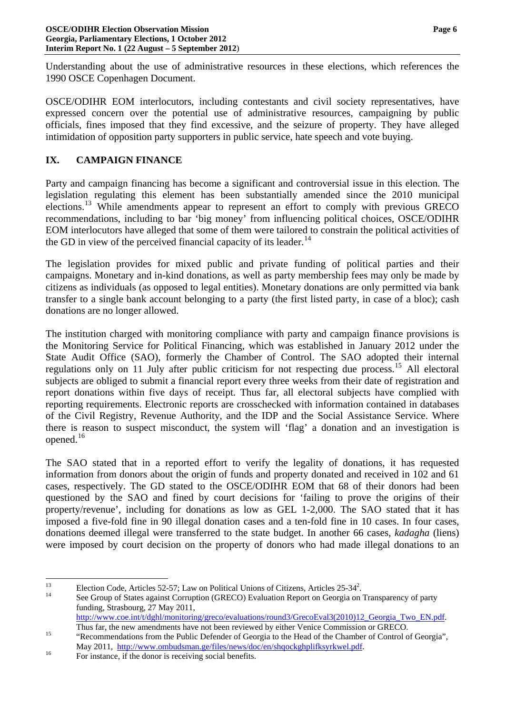Understanding about the use of administrative resources in these elections, which references the 1990 OSCE Copenhagen Document.

OSCE/ODIHR EOM interlocutors, including contestants and civil society representatives, have expressed concern over the potential use of administrative resources, campaigning by public officials, fines imposed that they find excessive, and the seizure of property. They have alleged intimidation of opposition party supporters in public service, hate speech and vote buying.

## **IX. CAMPAIGN FINANCE**

Party and campaign financing has become a significant and controversial issue in this election. The legislation regulating this element has been substantially amended since the 2010 municipal elections.[13](#page-4-1) While amendments appear to represent an effort to comply with previous GRECO recommendations, including to bar 'big money' from influencing political choices, OSCE/ODIHR EOM interlocutors have alleged that some of them were tailored to constrain the political activities of the GD in view of the perceived financial capacity of its leader.<sup>[14](#page-5-0)</sup>

The legislation provides for mixed public and private funding of political parties and their campaigns. Monetary and in-kind donations, as well as party membership fees may only be made by citizens as individuals (as opposed to legal entities). Monetary donations are only permitted via bank transfer to a single bank account belonging to a party (the first listed party, in case of a bloc); cash donations are no longer allowed.

The institution charged with monitoring compliance with party and campaign finance provisions is the Monitoring Service for Political Financing, which was established in January 2012 under the State Audit Office (SAO), formerly the Chamber of Control. The SAO adopted their internal regulations only on 11 July after public criticism for not respecting due process.<sup>[15](#page-5-1)</sup> All electoral subjects are obliged to submit a financial report every three weeks from their date of registration and report donations within five days of receipt. Thus far, all electoral subjects have complied with reporting requirements. Electronic reports are crosschecked with information contained in databases of the Civil Registry, Revenue Authority, and the IDP and the Social Assistance Service. Where there is reason to suspect misconduct, the system will 'flag' a donation and an investigation is opened.<sup>[16](#page-5-2)</sup>

<span id="page-5-3"></span>The SAO stated that in a reported effort to verify the legality of donations, it has requested information from donors about the origin of funds and property donated and received in 102 and 61 cases, respectively. The GD stated to the OSCE/ODIHR EOM that 68 of their donors had been questioned by the SAO and fined by court decisions for 'failing to prove the origins of their property/revenue', including for donations as low as GEL 1-2,000. The SAO stated that it has imposed a five-fold fine in 90 illegal donation cases and a ten-fold fine in 10 cases. In four cases, donations deemed illegal were transferred to the state budget. In another 66 cases, *kadagha* (liens) were imposed by court decision on the property of donors who had made illegal donations to an

<sup>13</sup> <sup>13</sup> Election Code, Articles 52-57; Law on Political Unions of Citizens, Articles 25-34<sup>2</sup>.

<span id="page-5-0"></span>See Group of States against Corruption (GRECO) Evaluation Report on Georgia on Transparency of party funding, Strasbourg, 27 May 2011,

[http://www.coe.int/t/dghl/monitoring/greco/evaluations/round3/GrecoEval3\(2010\)12\\_Georgia\\_Two\\_EN.pdf](http://www.coe.int/t/dghl/monitoring/greco/evaluations/round3/GrecoEval3(2010)12_Georgia_Two_EN.pdf).<br>Thus far, the new amendments have not been reviewed by either Venice Commission or GRECO.

<span id="page-5-1"></span><sup>&</sup>lt;sup>15</sup> "Recommendations from the Public Defender of Georgia to the Head of the Chamber of Control of Georgia", May 2011, <http://www.ombudsman.ge/files/news/doc/en/shqockghplifksyrkwel.pdf>.<br>
For instance, if the donor is receiving social benefits.

<span id="page-5-2"></span>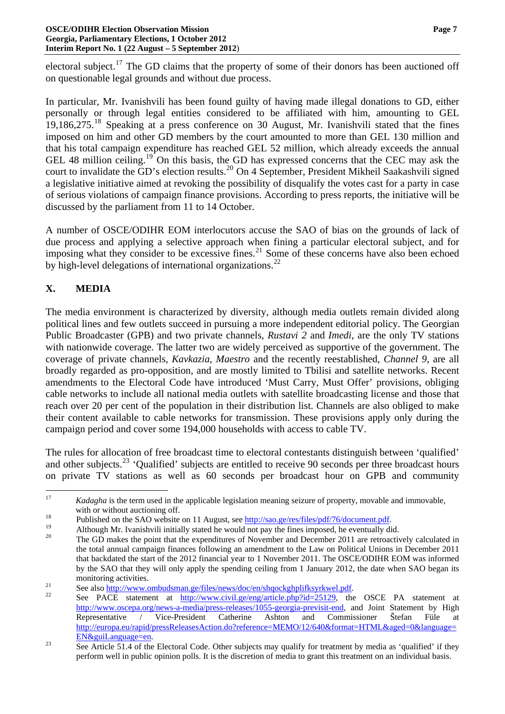electoral subject.<sup>[17](#page-5-3)</sup> The GD claims that the property of some of their donors has been auctioned off on questionable legal grounds and without due process.

In particular, Mr. Ivanishvili has been found guilty of having made illegal donations to GD, either personally or through legal entities considered to be affiliated with him, amounting to GEL 19,186,275.[18](#page-6-0) Speaking at a press conference on 30 August, Mr. Ivanishvili stated that the fines imposed on him and other GD members by the court amounted to more than GEL 130 million and that his total campaign expenditure has reached GEL 52 million, which already exceeds the annual GEL 48 million ceiling.<sup>[19](#page-6-1)</sup> On this basis, the GD has expressed concerns that the CEC may ask the court to invalidate the GD's election results.<sup>[20](#page-6-2)</sup> On 4 September, President Mikheil Saakashvili signed a legislative initiative aimed at revoking the possibility of disqualify the votes cast for a party in case of serious violations of campaign finance provisions. According to press reports, the initiative will be discussed by the parliament from 11 to 14 October.

A number of OSCE/ODIHR EOM interlocutors accuse the SAO of bias on the grounds of lack of due process and applying a selective approach when fining a particular electoral subject, and for imposing what they consider to be excessive fines.<sup>[21](#page-6-3)</sup> Some of these concerns have also been echoed by high-level delegations of international organizations.<sup>[22](#page-6-4)</sup>

# **X. MEDIA**

The media environment is characterized by diversity, although media outlets remain divided along political lines and few outlets succeed in pursuing a more independent editorial policy. The Georgian Public Broadcaster (GPB) and two private channels, *Rustavi 2* and *Imedi*, are the only TV stations with nationwide coverage. The latter two are widely perceived as supportive of the government. The coverage of private channels, *Kavkazia*, *Maestro* and the recently reestablished, *Channel 9*, are all broadly regarded as pro-opposition, and are mostly limited to Tbilisi and satellite networks. Recent amendments to the Electoral Code have introduced 'Must Carry, Must Offer' provisions, obliging cable networks to include all national media outlets with satellite broadcasting license and those that reach over 20 per cent of the population in their distribution list. Channels are also obliged to make their content available to cable networks for transmission. These provisions apply only during the campaign period and cover some 194,000 households with access to cable TV.

The rules for allocation of free broadcast time to electoral contestants distinguish between 'qualified' and other subjects.<sup>[23](#page-6-5)</sup> 'Qualified' subjects are entitled to receive 90 seconds per three broadcast hours on private TV stations as well as 60 seconds per broadcast hour on GPB and community

 $17$ 17 *Kadagha* is the term used in the applicable legislation meaning seizure of property, movable and immovable,

<span id="page-6-0"></span>with or without auctioning off.<br>
<sup>18</sup><br>
Published on the SAO website on 11 August, see <u><http://sao.ge/res/files/pdf/76/document.pdf></u>.<br>
Although Mr. Ivanishvili initially stated he would not pay the fines imposed, he eventua

<span id="page-6-2"></span><span id="page-6-1"></span>

The GD makes the point that the expenditures of November and December 2011 are retroactively calculated in the total annual campaign finances following an amendment to the Law on Political Unions in December 2011 that backdated the start of the 2012 financial year to 1 November 2011. The OSCE/ODIHR EOM was informed by the SAO that they will only apply the spending ceiling from 1 January 2012, the date when SAO began its

<span id="page-6-4"></span>

<span id="page-6-3"></span>monitoring activities.<br>
21 See also <u>http://www.ombudsman.ge/files/news/doc/en/shqockghplifksyrkwel.pdf</u>.<br>
22 See PACE statement at <u>http://www.civil.ge/eng/article.php?id=25129</u>, the OSCE PA statement at <http://www.oscepa.org/news-a-media/press-releases/1055-georgia-previsit-end>, and Joint Statement by High Representative / Vice-President Catherine Ashton and Commissioner Štefan Füle at [http://europa.eu/rapid/pressReleasesAction.do?reference=MEMO/12/640&format=HTML&aged=0&language=](http://europa.eu/rapid/pressReleasesAction.do?reference=MEMO/12/640&format=HTML&aged=0&language=EN&guiLanguage=en)

<span id="page-6-6"></span><span id="page-6-5"></span> $\frac{EN\&guil.anguage=en}{\text{See Article 51.4 of the Electrical Code. Other subjects may qualify for treatment by media as 'qualified' if they}$ perform well in public opinion polls. It is the discretion of media to grant this treatment on an individual basis.